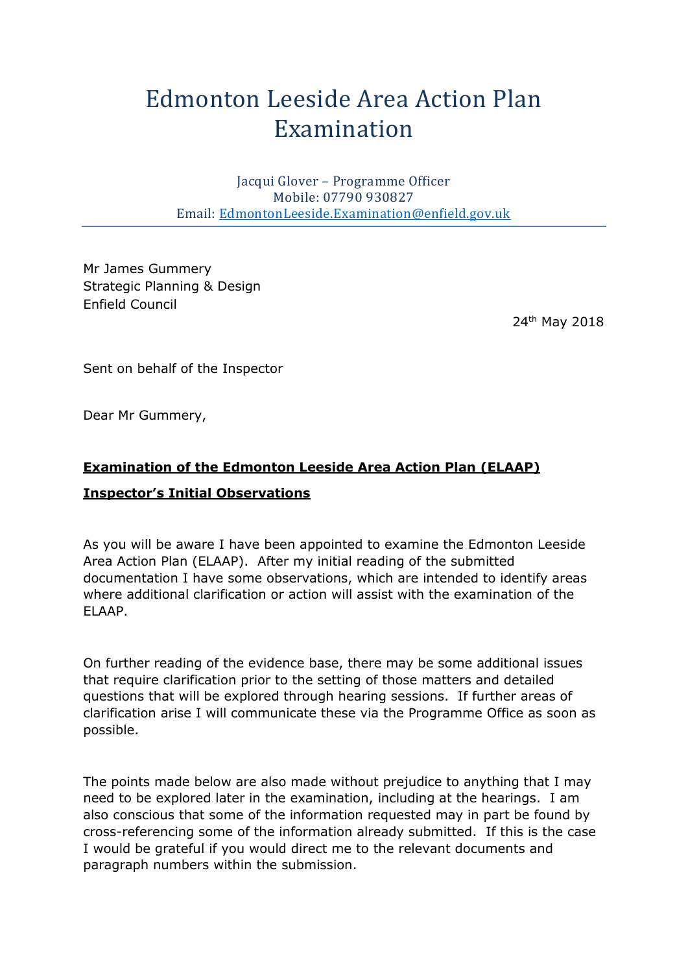# Edmonton Leeside Area Action Plan Examination

Jacqui Glover – Programme Officer Mobile: 07790 930827 Email: [EdmontonLeeside.Examination@enfield.gov.uk](mailto:EdmontonLeeside.Examination@enfield.gov.uk)

Mr James Gummery Strategic Planning & Design Enfield Council

24th May 2018

Sent on behalf of the Inspector

Dear Mr Gummery,

# **Examination of the Edmonton Leeside Area Action Plan (ELAAP) Inspector's Initial Observations**

As you will be aware I have been appointed to examine the Edmonton Leeside Area Action Plan (ELAAP). After my initial reading of the submitted documentation I have some observations, which are intended to identify areas where additional clarification or action will assist with the examination of the ELAAP.

On further reading of the evidence base, there may be some additional issues that require clarification prior to the setting of those matters and detailed questions that will be explored through hearing sessions. If further areas of clarification arise I will communicate these via the Programme Office as soon as possible.

The points made below are also made without prejudice to anything that I may need to be explored later in the examination, including at the hearings. I am also conscious that some of the information requested may in part be found by cross-referencing some of the information already submitted. If this is the case I would be grateful if you would direct me to the relevant documents and paragraph numbers within the submission.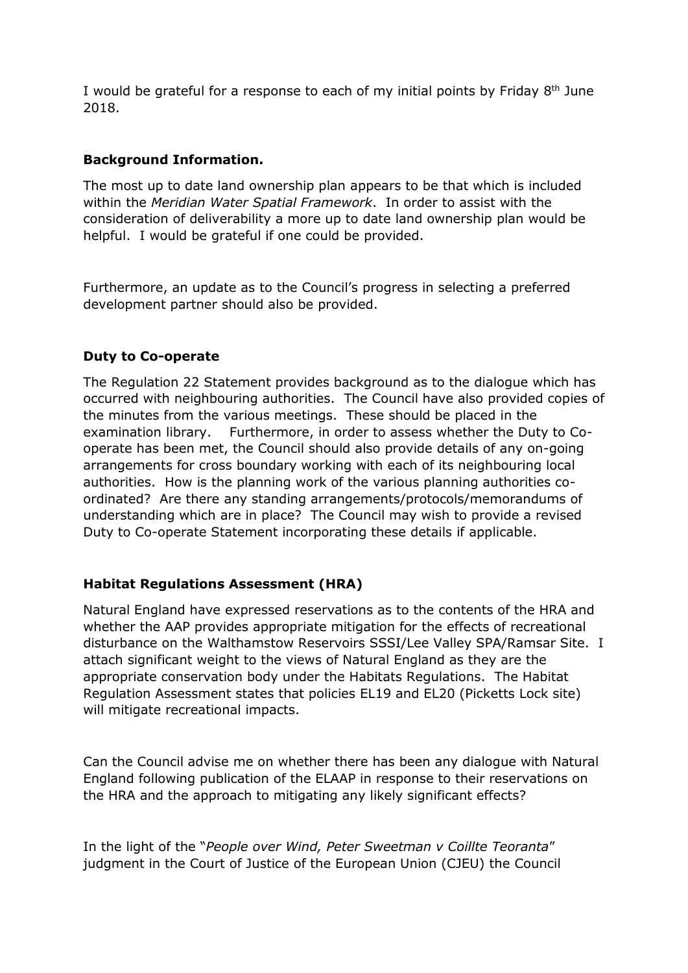I would be grateful for a response to each of my initial points by Friday  $8<sup>th</sup>$  June 2018.

# **Background Information.**

The most up to date land ownership plan appears to be that which is included within the *Meridian Water Spatial Framework*. In order to assist with the consideration of deliverability a more up to date land ownership plan would be helpful. I would be grateful if one could be provided.

Furthermore, an update as to the Council's progress in selecting a preferred development partner should also be provided.

## **Duty to Co-operate**

The Regulation 22 Statement provides background as to the dialogue which has occurred with neighbouring authorities. The Council have also provided copies of the minutes from the various meetings. These should be placed in the examination library. Furthermore, in order to assess whether the Duty to Cooperate has been met, the Council should also provide details of any on-going arrangements for cross boundary working with each of its neighbouring local authorities. How is the planning work of the various planning authorities coordinated? Are there any standing arrangements/protocols/memorandums of understanding which are in place? The Council may wish to provide a revised Duty to Co-operate Statement incorporating these details if applicable.

# **Habitat Regulations Assessment (HRA)**

Natural England have expressed reservations as to the contents of the HRA and whether the AAP provides appropriate mitigation for the effects of recreational disturbance on the Walthamstow Reservoirs SSSI/Lee Valley SPA/Ramsar Site. I attach significant weight to the views of Natural England as they are the appropriate conservation body under the Habitats Regulations. The Habitat Regulation Assessment states that policies EL19 and EL20 (Picketts Lock site) will mitigate recreational impacts.

Can the Council advise me on whether there has been any dialogue with Natural England following publication of the ELAAP in response to their reservations on the HRA and the approach to mitigating any likely significant effects?

In the light of the "*People over Wind, Peter Sweetman v Coillte Teoranta*" judgment in the Court of Justice of the European Union (CJEU) the Council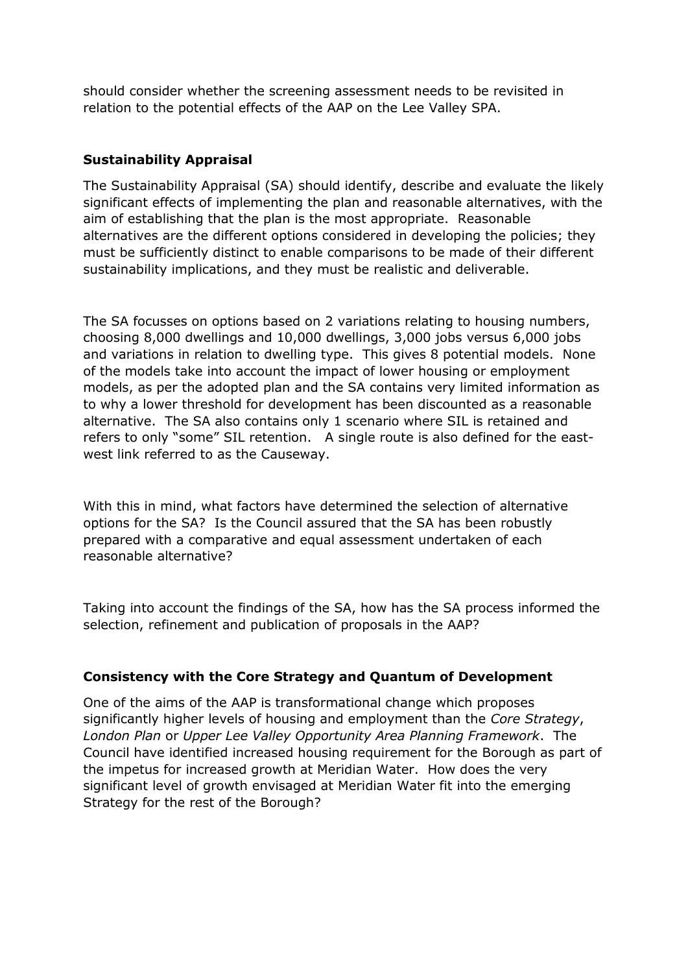should consider whether the screening assessment needs to be revisited in relation to the potential effects of the AAP on the Lee Valley SPA.

# **Sustainability Appraisal**

The Sustainability Appraisal (SA) should identify, describe and evaluate the likely significant effects of implementing the plan and reasonable alternatives, with the aim of establishing that the plan is the most appropriate. Reasonable alternatives are the different options considered in developing the policies; they must be sufficiently distinct to enable comparisons to be made of their different sustainability implications, and they must be realistic and deliverable.

The SA focusses on options based on 2 variations relating to housing numbers, choosing 8,000 dwellings and 10,000 dwellings, 3,000 jobs versus 6,000 jobs and variations in relation to dwelling type. This gives 8 potential models. None of the models take into account the impact of lower housing or employment models, as per the adopted plan and the SA contains very limited information as to why a lower threshold for development has been discounted as a reasonable alternative. The SA also contains only 1 scenario where SIL is retained and refers to only "some" SIL retention. A single route is also defined for the eastwest link referred to as the Causeway.

With this in mind, what factors have determined the selection of alternative options for the SA? Is the Council assured that the SA has been robustly prepared with a comparative and equal assessment undertaken of each reasonable alternative?

Taking into account the findings of the SA, how has the SA process informed the selection, refinement and publication of proposals in the AAP?

#### **Consistency with the Core Strategy and Quantum of Development**

One of the aims of the AAP is transformational change which proposes significantly higher levels of housing and employment than the *Core Strategy*, *London Plan* or *Upper Lee Valley Opportunity Area Planning Framework*. The Council have identified increased housing requirement for the Borough as part of the impetus for increased growth at Meridian Water. How does the very significant level of growth envisaged at Meridian Water fit into the emerging Strategy for the rest of the Borough?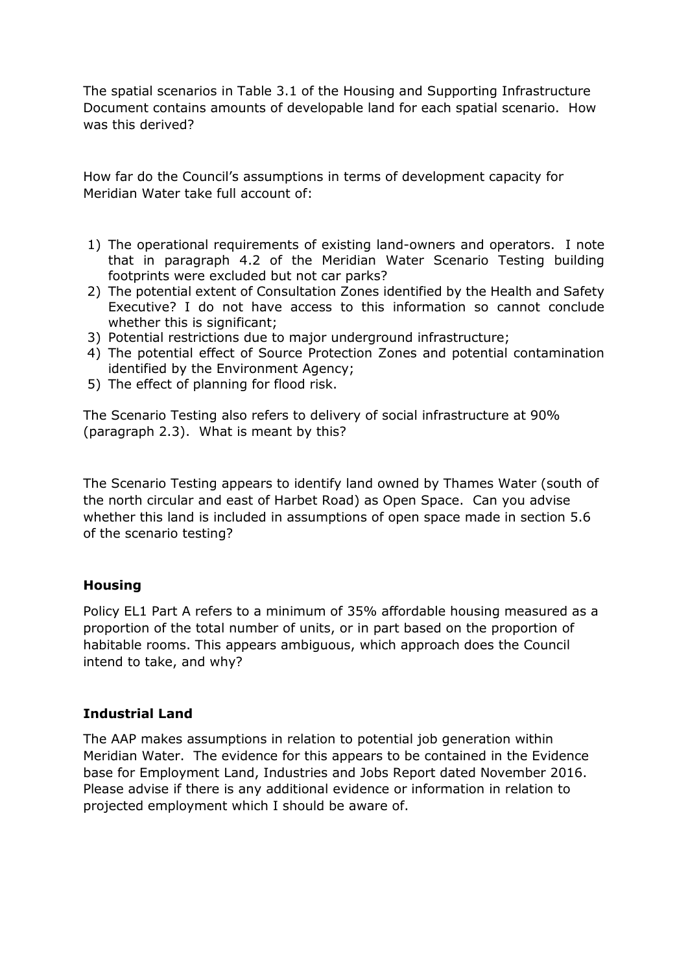The spatial scenarios in Table 3.1 of the Housing and Supporting Infrastructure Document contains amounts of developable land for each spatial scenario. How was this derived?

How far do the Council's assumptions in terms of development capacity for Meridian Water take full account of:

- 1) The operational requirements of existing land-owners and operators. I note that in paragraph 4.2 of the Meridian Water Scenario Testing building footprints were excluded but not car parks?
- 2) The potential extent of Consultation Zones identified by the Health and Safety Executive? I do not have access to this information so cannot conclude whether this is significant:
- 3) Potential restrictions due to major underground infrastructure;
- 4) The potential effect of Source Protection Zones and potential contamination identified by the Environment Agency;
- 5) The effect of planning for flood risk.

The Scenario Testing also refers to delivery of social infrastructure at 90% (paragraph 2.3). What is meant by this?

The Scenario Testing appears to identify land owned by Thames Water (south of the north circular and east of Harbet Road) as Open Space. Can you advise whether this land is included in assumptions of open space made in section 5.6 of the scenario testing?

#### **Housing**

Policy EL1 Part A refers to a minimum of 35% affordable housing measured as a proportion of the total number of units, or in part based on the proportion of habitable rooms. This appears ambiguous, which approach does the Council intend to take, and why?

# **Industrial Land**

The AAP makes assumptions in relation to potential job generation within Meridian Water. The evidence for this appears to be contained in the Evidence base for Employment Land, Industries and Jobs Report dated November 2016. Please advise if there is any additional evidence or information in relation to projected employment which I should be aware of.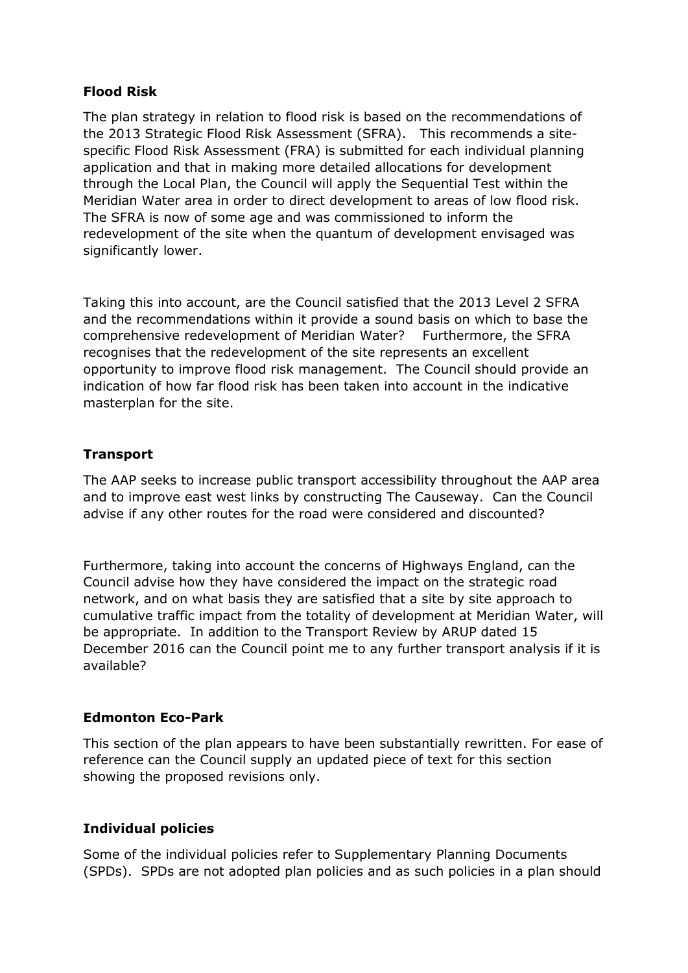## **Flood Risk**

The plan strategy in relation to flood risk is based on the recommendations of the 2013 Strategic Flood Risk Assessment (SFRA). This recommends a sitespecific Flood Risk Assessment (FRA) is submitted for each individual planning application and that in making more detailed allocations for development through the Local Plan, the Council will apply the Sequential Test within the Meridian Water area in order to direct development to areas of low flood risk. The SFRA is now of some age and was commissioned to inform the redevelopment of the site when the quantum of development envisaged was significantly lower.

Taking this into account, are the Council satisfied that the 2013 Level 2 SFRA and the recommendations within it provide a sound basis on which to base the comprehensive redevelopment of Meridian Water? Furthermore, the SFRA recognises that the redevelopment of the site represents an excellent opportunity to improve flood risk management. The Council should provide an indication of how far flood risk has been taken into account in the indicative masterplan for the site.

## **Transport**

The AAP seeks to increase public transport accessibility throughout the AAP area and to improve east west links by constructing The Causeway. Can the Council advise if any other routes for the road were considered and discounted?

Furthermore, taking into account the concerns of Highways England, can the Council advise how they have considered the impact on the strategic road network, and on what basis they are satisfied that a site by site approach to cumulative traffic impact from the totality of development at Meridian Water, will be appropriate. In addition to the Transport Review by ARUP dated 15 December 2016 can the Council point me to any further transport analysis if it is available?

#### **Edmonton Eco-Park**

This section of the plan appears to have been substantially rewritten. For ease of reference can the Council supply an updated piece of text for this section showing the proposed revisions only.

#### **Individual policies**

Some of the individual policies refer to Supplementary Planning Documents (SPDs). SPDs are not adopted plan policies and as such policies in a plan should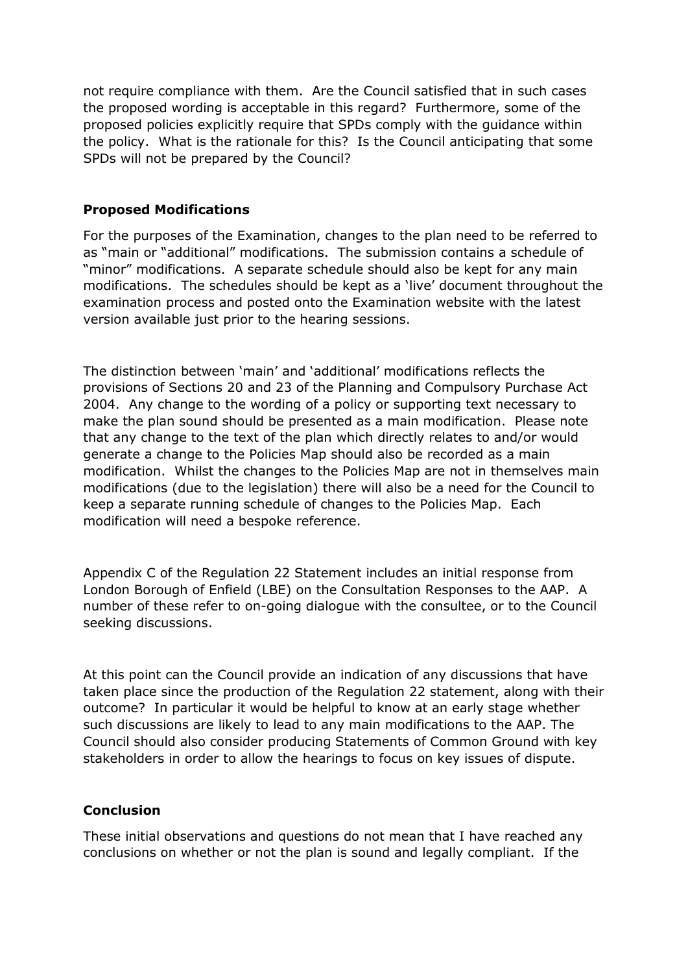not require compliance with them. Are the Council satisfied that in such cases the proposed wording is acceptable in this regard? Furthermore, some of the proposed policies explicitly require that SPDs comply with the guidance within the policy. What is the rationale for this? Is the Council anticipating that some SPDs will not be prepared by the Council?

#### **Proposed Modifications**

For the purposes of the Examination, changes to the plan need to be referred to as "main or "additional" modifications. The submission contains a schedule of "minor" modifications. A separate schedule should also be kept for any main modifications. The schedules should be kept as a 'live' document throughout the examination process and posted onto the Examination website with the latest version available just prior to the hearing sessions.

The distinction between 'main' and 'additional' modifications reflects the provisions of Sections 20 and 23 of the Planning and Compulsory Purchase Act 2004. Any change to the wording of a policy or supporting text necessary to make the plan sound should be presented as a main modification. Please note that any change to the text of the plan which directly relates to and/or would generate a change to the Policies Map should also be recorded as a main modification. Whilst the changes to the Policies Map are not in themselves main modifications (due to the legislation) there will also be a need for the Council to keep a separate running schedule of changes to the Policies Map. Each modification will need a bespoke reference.

Appendix C of the Regulation 22 Statement includes an initial response from London Borough of Enfield (LBE) on the Consultation Responses to the AAP. A number of these refer to on-going dialogue with the consultee, or to the Council seeking discussions.

At this point can the Council provide an indication of any discussions that have taken place since the production of the Regulation 22 statement, along with their outcome? In particular it would be helpful to know at an early stage whether such discussions are likely to lead to any main modifications to the AAP. The Council should also consider producing Statements of Common Ground with key stakeholders in order to allow the hearings to focus on key issues of dispute.

#### **Conclusion**

These initial observations and questions do not mean that I have reached any conclusions on whether or not the plan is sound and legally compliant. If the